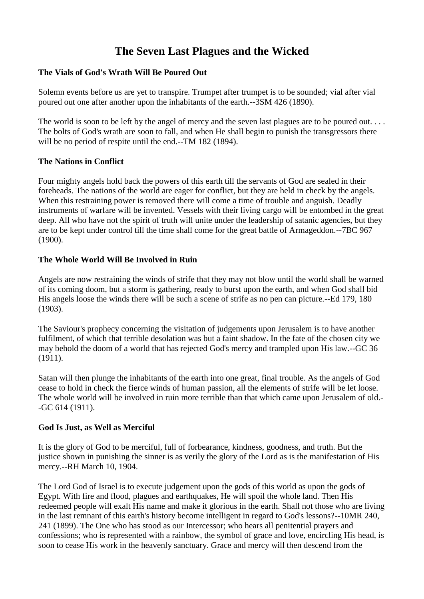# **The Seven Last Plagues and the Wicked**

# **The Vials of God's Wrath Will Be Poured Out**

Solemn events before us are yet to transpire. Trumpet after trumpet is to be sounded; vial after vial poured out one after another upon the inhabitants of the earth.--3SM 426 (1890).

The world is soon to be left by the angel of mercy and the seven last plagues are to be poured out.... The bolts of God's wrath are soon to fall, and when He shall begin to punish the transgressors there will be no period of respite until the end.--TM 182 (1894).

# **The Nations in Conflict**

Four mighty angels hold back the powers of this earth till the servants of God are sealed in their foreheads. The nations of the world are eager for conflict, but they are held in check by the angels. When this restraining power is removed there will come a time of trouble and anguish. Deadly instruments of warfare will be invented. Vessels with their living cargo will be entombed in the great deep. All who have not the spirit of truth will unite under the leadership of satanic agencies, but they are to be kept under control till the time shall come for the great battle of Armageddon.--7BC 967 (1900).

# **The Whole World Will Be Involved in Ruin**

Angels are now restraining the winds of strife that they may not blow until the world shall be warned of its coming doom, but a storm is gathering, ready to burst upon the earth, and when God shall bid His angels loose the winds there will be such a scene of strife as no pen can picture.--Ed 179, 180 (1903).

The Saviour's prophecy concerning the visitation of judgements upon Jerusalem is to have another fulfilment, of which that terrible desolation was but a faint shadow. In the fate of the chosen city we may behold the doom of a world that has rejected God's mercy and trampled upon His law.--GC 36 (1911).

Satan will then plunge the inhabitants of the earth into one great, final trouble. As the angels of God cease to hold in check the fierce winds of human passion, all the elements of strife will be let loose. The whole world will be involved in ruin more terrible than that which came upon Jerusalem of old.- -GC 614 (1911).

# **God Is Just, as Well as Merciful**

It is the glory of God to be merciful, full of forbearance, kindness, goodness, and truth. But the justice shown in punishing the sinner is as verily the glory of the Lord as is the manifestation of His mercy.--RH March 10, 1904.

The Lord God of Israel is to execute judgement upon the gods of this world as upon the gods of Egypt. With fire and flood, plagues and earthquakes, He will spoil the whole land. Then His redeemed people will exalt His name and make it glorious in the earth. Shall not those who are living in the last remnant of this earth's history become intelligent in regard to God's lessons?--10MR 240, 241 (1899). The One who has stood as our Intercessor; who hears all penitential prayers and confessions; who is represented with a rainbow, the symbol of grace and love, encircling His head, is soon to cease His work in the heavenly sanctuary. Grace and mercy will then descend from the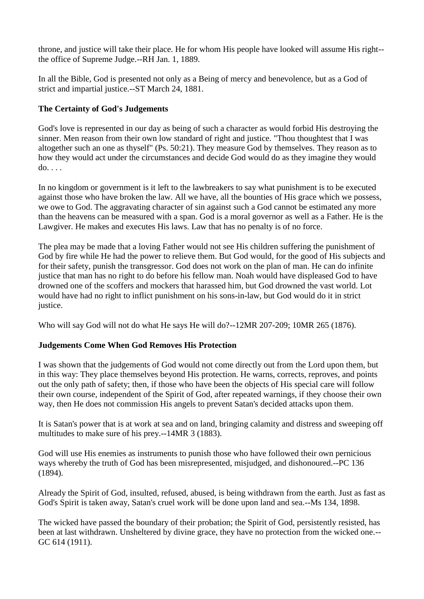throne, and justice will take their place. He for whom His people have looked will assume His right- the office of Supreme Judge.--RH Jan. 1, 1889.

In all the Bible, God is presented not only as a Being of mercy and benevolence, but as a God of strict and impartial justice.--ST March 24, 1881.

# **The Certainty of God's Judgements**

God's love is represented in our day as being of such a character as would forbid His destroying the sinner. Men reason from their own low standard of right and justice. "Thou thoughtest that I was altogether such an one as thyself" (Ps. 50:21). They measure God by themselves. They reason as to how they would act under the circumstances and decide God would do as they imagine they would  $do. \ldots$ 

In no kingdom or government is it left to the lawbreakers to say what punishment is to be executed against those who have broken the law. All we have, all the bounties of His grace which we possess, we owe to God. The aggravating character of sin against such a God cannot be estimated any more than the heavens can be measured with a span. God is a moral governor as well as a Father. He is the Lawgiver. He makes and executes His laws. Law that has no penalty is of no force.

The plea may be made that a loving Father would not see His children suffering the punishment of God by fire while He had the power to relieve them. But God would, for the good of His subjects and for their safety, punish the transgressor. God does not work on the plan of man. He can do infinite justice that man has no right to do before his fellow man. Noah would have displeased God to have drowned one of the scoffers and mockers that harassed him, but God drowned the vast world. Lot would have had no right to inflict punishment on his sons-in-law, but God would do it in strict justice.

Who will say God will not do what He says He will do?--12MR 207-209; 10MR 265 (1876).

# **Judgements Come When God Removes His Protection**

I was shown that the judgements of God would not come directly out from the Lord upon them, but in this way: They place themselves beyond His protection. He warns, corrects, reproves, and points out the only path of safety; then, if those who have been the objects of His special care will follow their own course, independent of the Spirit of God, after repeated warnings, if they choose their own way, then He does not commission His angels to prevent Satan's decided attacks upon them.

It is Satan's power that is at work at sea and on land, bringing calamity and distress and sweeping off multitudes to make sure of his prey.--14MR 3 (1883).

God will use His enemies as instruments to punish those who have followed their own pernicious ways whereby the truth of God has been misrepresented, misjudged, and dishonoured.--PC 136 (1894).

Already the Spirit of God, insulted, refused, abused, is being withdrawn from the earth. Just as fast as God's Spirit is taken away, Satan's cruel work will be done upon land and sea.--Ms 134, 1898.

The wicked have passed the boundary of their probation; the Spirit of God, persistently resisted, has been at last withdrawn. Unsheltered by divine grace, they have no protection from the wicked one.-- GC 614 (1911).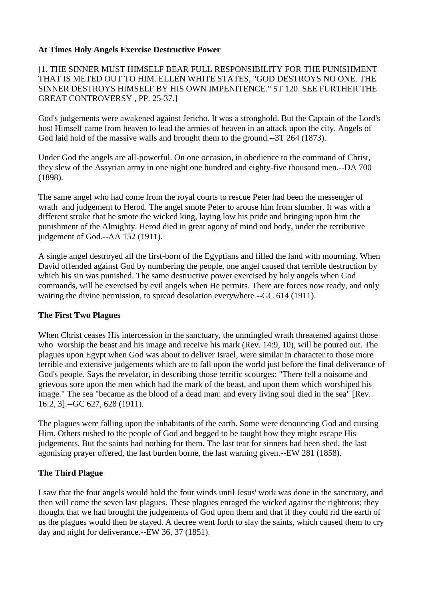## **At Times Holy Angels Exercise Destructive Power**

[1. THE SINNER MUST HIMSELF BEAR FULL RESPONSIBILITY FOR THE PUNISHMENT THAT IS METED OUT TO HIM. ELLEN WHITE STATES, "GOD DESTROYS NO ONE. THE SINNER DESTROYS HIMSELF BY HIS OWN IMPENITENCE." 5T 120. SEE FURTHER THE GREAT CONTROVERSY , PP. 25-37.]

God's judgements were awakened against Jericho. It was a stronghold. But the Captain of the Lord's host Himself came from heaven to lead the armies of heaven in an attack upon the city. Angels of God laid hold of the massive walls and brought them to the ground.--3T 264 (1873).

Under God the angels are all-powerful. On one occasion, in obedience to the command of Christ, they slew of the Assyrian army in one night one hundred and eighty-five thousand men.--DA 700 (1898).

The same angel who had come from the royal courts to rescue Peter had been the messenger of wrath and judgement to Herod. The angel smote Peter to arouse him from slumber. It was with a different stroke that he smote the wicked king, laying low his pride and bringing upon him the punishment of the Almighty. Herod died in great agony of mind and body, under the retributive judgement of God.--AA 152 (1911).

A single angel destroyed all the first-born of the Egyptians and filled the land with mourning. When David offended against God by numbering the people, one angel caused that terrible destruction by which his sin was punished. The same destructive power exercised by holy angels when God commands, will be exercised by evil angels when He permits. There are forces now ready, and only waiting the divine permission, to spread desolation everywhere.--GC 614 (1911).

#### **The First Two Plagues**

When Christ ceases His intercession in the sanctuary, the unmingled wrath threatened against those who worship the beast and his image and receive his mark (Rev. 14:9, 10), will be poured out. The plagues upon Egypt when God was about to deliver Israel, were similar in character to those more terrible and extensive judgements which are to fall upon the world just before the final deliverance of God's people. Says the revelator, in describing those terrific scourges: "There fell a noisome and grievous sore upon the men which had the mark of the beast, and upon them which worshiped his image." The sea "became as the blood of a dead man: and every living soul died in the sea" [Rev. 16:2, 3].--GC 627, 628 (1911).

The plagues were falling upon the inhabitants of the earth. Some were denouncing God and cursing Him. Others rushed to the people of God and begged to be taught how they might escape His judgements. But the saints had nothing for them. The last tear for sinners had been shed, the last agonising prayer offered, the last burden borne, the last warning given.--EW 281 (1858).

#### **The Third Plague**

I saw that the four angels would hold the four winds until Jesus' work was done in the sanctuary, and then will come the seven last plagues. These plagues enraged the wicked against the righteous; they thought that we had brought the judgements of God upon them and that if they could rid the earth of us the plagues would then be stayed. A decree went forth to slay the saints, which caused them to cry day and night for deliverance.--EW 36, 37 (1851).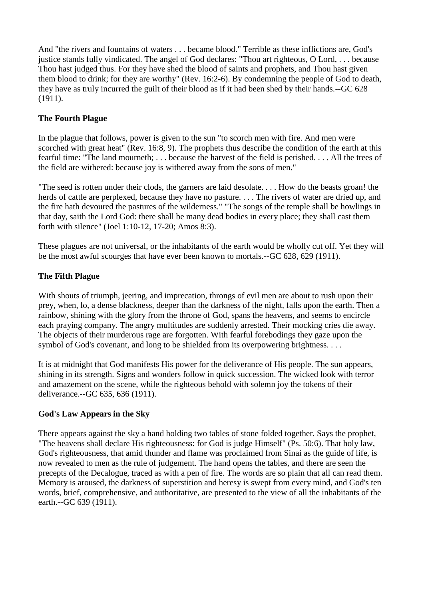And "the rivers and fountains of waters . . . became blood." Terrible as these inflictions are, God's justice stands fully vindicated. The angel of God declares: "Thou art righteous, O Lord, . . . because Thou hast judged thus. For they have shed the blood of saints and prophets, and Thou hast given them blood to drink; for they are worthy" (Rev. 16:2-6). By condemning the people of God to death, they have as truly incurred the guilt of their blood as if it had been shed by their hands.--GC 628 (1911).

# **The Fourth Plague**

In the plague that follows, power is given to the sun "to scorch men with fire. And men were scorched with great heat" (Rev. 16:8, 9). The prophets thus describe the condition of the earth at this fearful time: "The land mourneth; . . . because the harvest of the field is perished. . . . All the trees of the field are withered: because joy is withered away from the sons of men."

"The seed is rotten under their clods, the garners are laid desolate. . . . How do the beasts groan! the herds of cattle are perplexed, because they have no pasture. . . . The rivers of water are dried up, and the fire hath devoured the pastures of the wilderness." "The songs of the temple shall be howlings in that day, saith the Lord God: there shall be many dead bodies in every place; they shall cast them forth with silence" (Joel 1:10-12, 17-20; Amos 8:3).

These plagues are not universal, or the inhabitants of the earth would be wholly cut off. Yet they will be the most awful scourges that have ever been known to mortals.--GC 628, 629 (1911).

# **The Fifth Plague**

With shouts of triumph, jeering, and imprecation, throngs of evil men are about to rush upon their prey, when, lo, a dense blackness, deeper than the darkness of the night, falls upon the earth. Then a rainbow, shining with the glory from the throne of God, spans the heavens, and seems to encircle each praying company. The angry multitudes are suddenly arrested. Their mocking cries die away. The objects of their murderous rage are forgotten. With fearful forebodings they gaze upon the symbol of God's covenant, and long to be shielded from its overpowering brightness. . . .

It is at midnight that God manifests His power for the deliverance of His people. The sun appears, shining in its strength. Signs and wonders follow in quick succession. The wicked look with terror and amazement on the scene, while the righteous behold with solemn joy the tokens of their deliverance.--GC 635, 636 (1911).

# **God's Law Appears in the Sky**

There appears against the sky a hand holding two tables of stone folded together. Says the prophet, "The heavens shall declare His righteousness: for God is judge Himself" (Ps. 50:6). That holy law, God's righteousness, that amid thunder and flame was proclaimed from Sinai as the guide of life, is now revealed to men as the rule of judgement. The hand opens the tables, and there are seen the precepts of the Decalogue, traced as with a pen of fire. The words are so plain that all can read them. Memory is aroused, the darkness of superstition and heresy is swept from every mind, and God's ten words, brief, comprehensive, and authoritative, are presented to the view of all the inhabitants of the earth.--GC 639 (1911).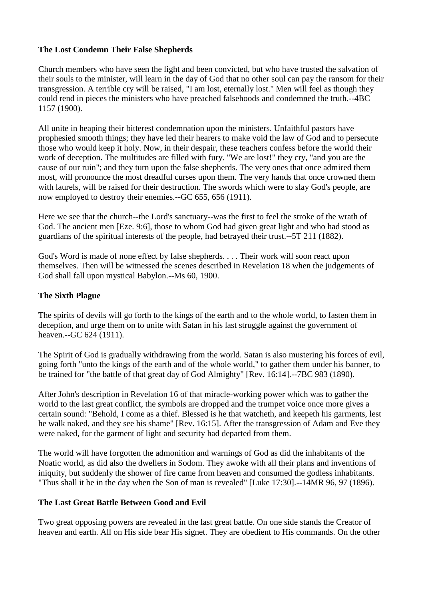# **The Lost Condemn Their False Shepherds**

Church members who have seen the light and been convicted, but who have trusted the salvation of their souls to the minister, will learn in the day of God that no other soul can pay the ransom for their transgression. A terrible cry will be raised, "I am lost, eternally lost." Men will feel as though they could rend in pieces the ministers who have preached falsehoods and condemned the truth.--4BC 1157 (1900).

All unite in heaping their bitterest condemnation upon the ministers. Unfaithful pastors have prophesied smooth things; they have led their hearers to make void the law of God and to persecute those who would keep it holy. Now, in their despair, these teachers confess before the world their work of deception. The multitudes are filled with fury. "We are lost!" they cry, "and you are the cause of our ruin"; and they turn upon the false shepherds. The very ones that once admired them most, will pronounce the most dreadful curses upon them. The very hands that once crowned them with laurels, will be raised for their destruction. The swords which were to slay God's people, are now employed to destroy their enemies.--GC 655, 656 (1911).

Here we see that the church--the Lord's sanctuary--was the first to feel the stroke of the wrath of God. The ancient men [Eze. 9:6], those to whom God had given great light and who had stood as guardians of the spiritual interests of the people, had betrayed their trust.--5T 211 (1882).

God's Word is made of none effect by false shepherds. . . . Their work will soon react upon themselves. Then will be witnessed the scenes described in Revelation 18 when the judgements of God shall fall upon mystical Babylon.--Ms 60, 1900.

## **The Sixth Plague**

The spirits of devils will go forth to the kings of the earth and to the whole world, to fasten them in deception, and urge them on to unite with Satan in his last struggle against the government of heaven.--GC 624 (1911).

The Spirit of God is gradually withdrawing from the world. Satan is also mustering his forces of evil, going forth "unto the kings of the earth and of the whole world," to gather them under his banner, to be trained for "the battle of that great day of God Almighty" [Rev. 16:14].--7BC 983 (1890).

After John's description in Revelation 16 of that miracle-working power which was to gather the world to the last great conflict, the symbols are dropped and the trumpet voice once more gives a certain sound: "Behold, I come as a thief. Blessed is he that watcheth, and keepeth his garments, lest he walk naked, and they see his shame" [Rev. 16:15]. After the transgression of Adam and Eve they were naked, for the garment of light and security had departed from them.

The world will have forgotten the admonition and warnings of God as did the inhabitants of the Noatic world, as did also the dwellers in Sodom. They awoke with all their plans and inventions of iniquity, but suddenly the shower of fire came from heaven and consumed the godless inhabitants. "Thus shall it be in the day when the Son of man is revealed" [Luke 17:30].--14MR 96, 97 (1896).

#### **The Last Great Battle Between Good and Evil**

Two great opposing powers are revealed in the last great battle. On one side stands the Creator of heaven and earth. All on His side bear His signet. They are obedient to His commands. On the other